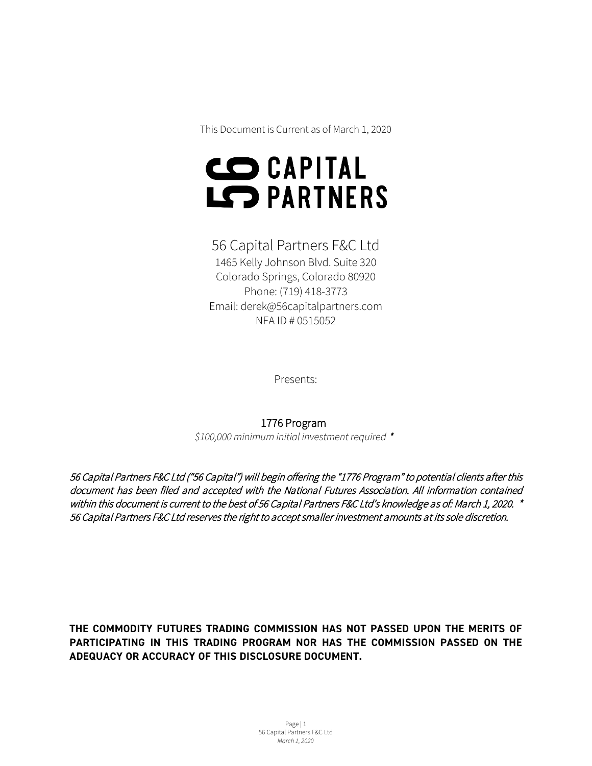This Document is Current as of March 1, 2020

# **CO CAPITAL** LC PARTNERS

## 56 Capital Partners F&C Ltd

1465 Kelly Johnson Blvd. Suite 320 Colorado Springs, Colorado 80920 Phone: (719) 418-3773 Email: derek@56capitalpartners.com NFA ID # 0515052

Presents:

#### 1776 Program

*\$100,000 minimum initial investment required* \*

56 Capital Partners F&C Ltd ("56 Capital") will begin offering the "1776 Program" to potential clients after this document has been filed and accepted with the National Futures Association. All information contained within this document is current to the best of 56 Capital Partners F&C Ltd's knowledge as of: March 1, 2020. \* 56 Capital Partners F&C Ltd reserves the right to accept smaller investment amounts at its sole discretion.

**THE COMMODITY FUTURES TRADING COMMISSION HAS NOT PASSED UPON THE MERITS OF PARTICIPATING IN THIS TRADING PROGRAM NOR HAS THE COMMISSION PASSED ON THE ADEQUACY OR ACCURACY OF THIS DISCLOSURE DOCUMENT.**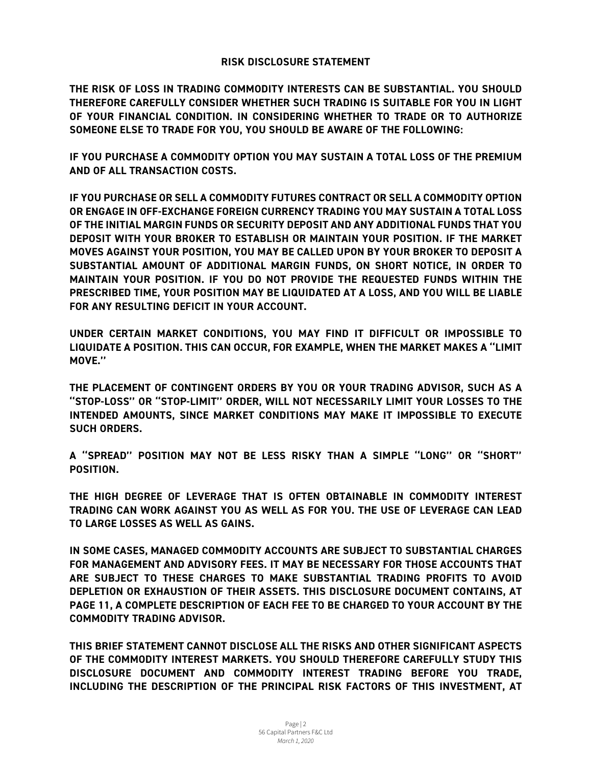#### **RISK DISCLOSURE STATEMENT**

**THE RISK OF LOSS IN TRADING COMMODITY INTERESTS CAN BE SUBSTANTIAL. YOU SHOULD THEREFORE CAREFULLY CONSIDER WHETHER SUCH TRADING IS SUITABLE FOR YOU IN LIGHT OF YOUR FINANCIAL CONDITION. IN CONSIDERING WHETHER TO TRADE OR TO AUTHORIZE SOMEONE ELSE TO TRADE FOR YOU, YOU SHOULD BE AWARE OF THE FOLLOWING:**

**IF YOU PURCHASE A COMMODITY OPTION YOU MAY SUSTAIN A TOTAL LOSS OF THE PREMIUM AND OF ALL TRANSACTION COSTS.**

**IF YOU PURCHASE OR SELL A COMMODITY FUTURES CONTRACT OR SELL A COMMODITY OPTION OR ENGAGE IN OFF-EXCHANGE FOREIGN CURRENCY TRADING YOU MAY SUSTAIN A TOTAL LOSS OF THE INITIAL MARGIN FUNDS OR SECURITY DEPOSIT AND ANY ADDITIONAL FUNDS THAT YOU DEPOSIT WITH YOUR BROKER TO ESTABLISH OR MAINTAIN YOUR POSITION. IF THE MARKET MOVES AGAINST YOUR POSITION, YOU MAY BE CALLED UPON BY YOUR BROKER TO DEPOSIT A SUBSTANTIAL AMOUNT OF ADDITIONAL MARGIN FUNDS, ON SHORT NOTICE, IN ORDER TO MAINTAIN YOUR POSITION. IF YOU DO NOT PROVIDE THE REQUESTED FUNDS WITHIN THE PRESCRIBED TIME, YOUR POSITION MAY BE LIQUIDATED AT A LOSS, AND YOU WILL BE LIABLE FOR ANY RESULTING DEFICIT IN YOUR ACCOUNT.**

**UNDER CERTAIN MARKET CONDITIONS, YOU MAY FIND IT DIFFICULT OR IMPOSSIBLE TO LIQUIDATE A POSITION. THIS CAN OCCUR, FOR EXAMPLE, WHEN THE MARKET MAKES A ''LIMIT MOVE.''**

**THE PLACEMENT OF CONTINGENT ORDERS BY YOU OR YOUR TRADING ADVISOR, SUCH AS A ''STOP-LOSS'' OR ''STOP-LIMIT'' ORDER, WILL NOT NECESSARILY LIMIT YOUR LOSSES TO THE INTENDED AMOUNTS, SINCE MARKET CONDITIONS MAY MAKE IT IMPOSSIBLE TO EXECUTE SUCH ORDERS.**

**A ''SPREAD'' POSITION MAY NOT BE LESS RISKY THAN A SIMPLE ''LONG'' OR ''SHORT'' POSITION.** 

**THE HIGH DEGREE OF LEVERAGE THAT IS OFTEN OBTAINABLE IN COMMODITY INTEREST TRADING CAN WORK AGAINST YOU AS WELL AS FOR YOU. THE USE OF LEVERAGE CAN LEAD TO LARGE LOSSES AS WELL AS GAINS.** 

**IN SOME CASES, MANAGED COMMODITY ACCOUNTS ARE SUBJECT TO SUBSTANTIAL CHARGES FOR MANAGEMENT AND ADVISORY FEES. IT MAY BE NECESSARY FOR THOSE ACCOUNTS THAT ARE SUBJECT TO THESE CHARGES TO MAKE SUBSTANTIAL TRADING PROFITS TO AVOID DEPLETION OR EXHAUSTION OF THEIR ASSETS. THIS DISCLOSURE DOCUMENT CONTAINS, AT PAGE 11, A COMPLETE DESCRIPTION OF EACH FEE TO BE CHARGED TO YOUR ACCOUNT BY THE COMMODITY TRADING ADVISOR.**

**THIS BRIEF STATEMENT CANNOT DISCLOSE ALL THE RISKS AND OTHER SIGNIFICANT ASPECTS OF THE COMMODITY INTEREST MARKETS. YOU SHOULD THEREFORE CAREFULLY STUDY THIS DISCLOSURE DOCUMENT AND COMMODITY INTEREST TRADING BEFORE YOU TRADE, INCLUDING THE DESCRIPTION OF THE PRINCIPAL RISK FACTORS OF THIS INVESTMENT, AT**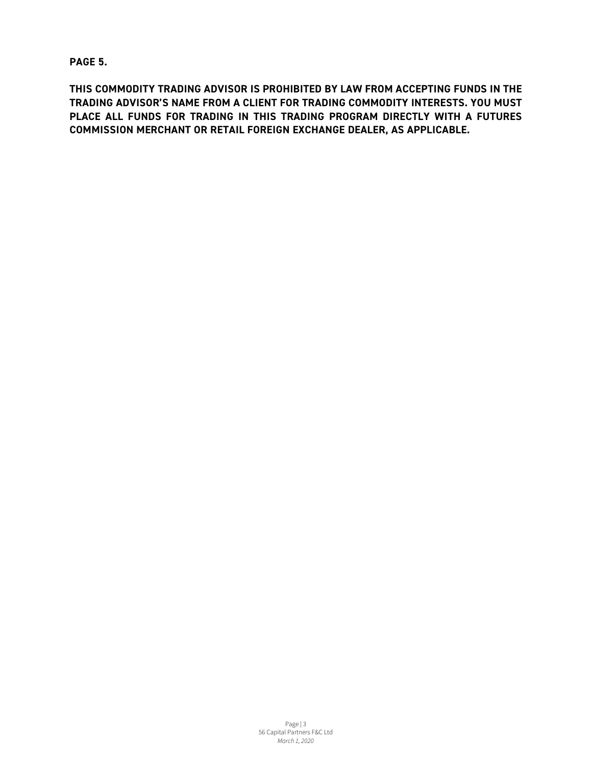**PAGE 5.**

**THIS COMMODITY TRADING ADVISOR IS PROHIBITED BY LAW FROM ACCEPTING FUNDS IN THE TRADING ADVISOR'S NAME FROM A CLIENT FOR TRADING COMMODITY INTERESTS. YOU MUST PLACE ALL FUNDS FOR TRADING IN THIS TRADING PROGRAM DIRECTLY WITH A FUTURES COMMISSION MERCHANT OR RETAIL FOREIGN EXCHANGE DEALER, AS APPLICABLE.**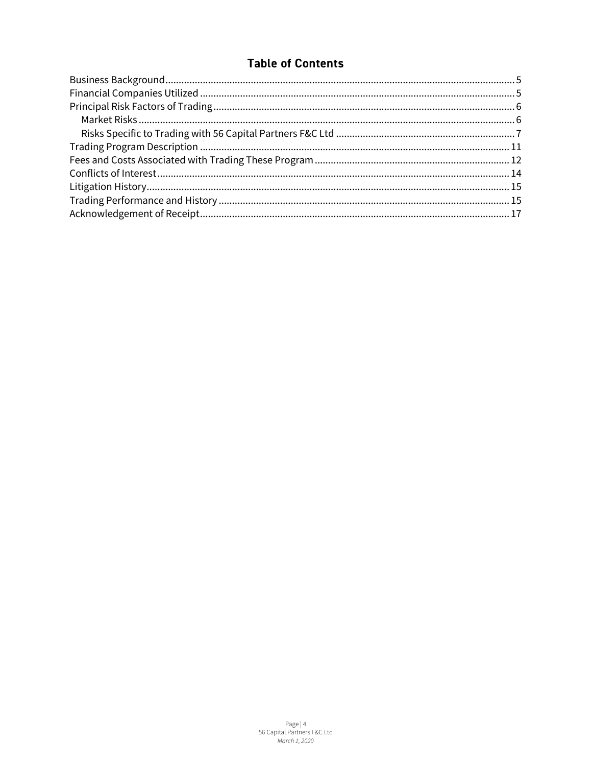## **Table of Contents**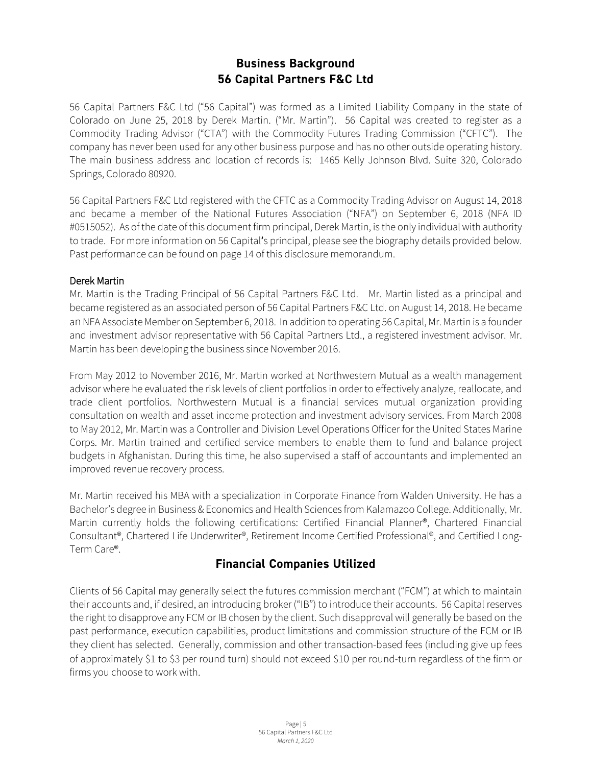## **Business Background 56 Capital Partners F&C Ltd**

<span id="page-4-0"></span>56 Capital Partners F&C Ltd ("56 Capital") was formed as a Limited Liability Company in the state of Colorado on June 25, 2018 by Derek Martin. ("Mr. Martin"). 56 Capital was created to register as a Commodity Trading Advisor ("CTA") with the Commodity Futures Trading Commission ("CFTC"). The company has never been used for any other business purpose and has no other outside operating history. The main business address and location of records is: 1465 Kelly Johnson Blvd. Suite 320, Colorado Springs, Colorado 80920.

56 Capital Partners F&C Ltd registered with the CFTC as a Commodity Trading Advisor on August 14, 2018 and became a member of the National Futures Association ("NFA") on September 6, 2018 (NFA ID #0515052). As of the date of this document firm principal, Derek Martin, is the only individual with authority to trade. For more information on 56 Capital's principal, please see the biography details provided below. Past performance can be found on page 14 of this disclosure memorandum.

#### Derek Martin

Mr. Martin is the Trading Principal of 56 Capital Partners F&C Ltd. Mr. Martin listed as a principal and became registered as an associated person of 56 Capital Partners F&C Ltd. on August 14, 2018. He became an NFA Associate Member on September 6, 2018. In addition to operating 56 Capital, Mr. Martin is a founder and investment advisor representative with 56 Capital Partners Ltd., a registered investment advisor. Mr. Martin has been developing the business since November 2016.

From May 2012 to November 2016, Mr. Martin worked at Northwestern Mutual as a wealth management advisor where he evaluated the risk levels of client portfolios in order to effectively analyze, reallocate, and trade client portfolios. Northwestern Mutual is a financial services mutual organization providing consultation on wealth and asset income protection and investment advisory services. From March 2008 to May 2012, Mr. Martin was a Controller and Division Level Operations Officer for the United States Marine Corps. Mr. Martin trained and certified service members to enable them to fund and balance project budgets in Afghanistan. During this time, he also supervised a staff of accountants and implemented an improved revenue recovery process.

Mr. Martin received his MBA with a specialization in Corporate Finance from Walden University. He has a Bachelor's degree in Business & Economics and Health Sciences from Kalamazoo College. Additionally, Mr. Martin currently holds the following certifications: Certified Financial Planner®, Chartered Financial Consultant®, Chartered Life Underwriter®, Retirement Income Certified Professional®, and Certified Long-Term Care®.

## **Financial Companies Utilized**

<span id="page-4-1"></span>Clients of 56 Capital may generally select the futures commission merchant ("FCM") at which to maintain their accounts and, if desired, an introducing broker ("IB") to introduce their accounts. 56 Capital reserves the right to disapprove any FCM or IB chosen by the client. Such disapproval will generally be based on the past performance, execution capabilities, product limitations and commission structure of the FCM or IB they client has selected. Generally, commission and other transaction-based fees (including give up fees of approximately \$1 to \$3 per round turn) should not exceed \$10 per round-turn regardless of the firm or firms you choose to work with.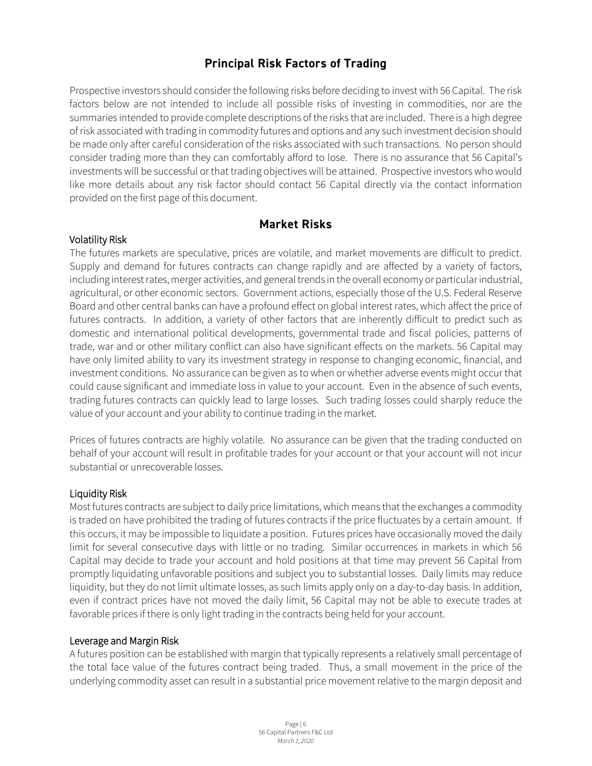## **Principal Risk Factors of Trading**

<span id="page-5-0"></span>Prospective investors should consider the following risks before deciding to invest with 56 Capital. The risk factors below are not intended to include all possible risks of investing in commodities, nor are the summaries intended to provide complete descriptions of the risks that are included. There is a high degree of risk associated with trading in commodity futures and options and any such investment decision should be made only after careful consideration of the risks associated with such transactions. No person should consider trading more than they can comfortably afford to lose. There is no assurance that 56 Capital's investments will be successful or that trading objectives will be attained. Prospective investors who would like more details about any risk factor should contact 56 Capital directly via the contact information provided on the first page of this document.

#### **Market Risks**

#### <span id="page-5-1"></span>Volatility Risk

The futures markets are speculative, prices are volatile, and market movements are difficult to predict. Supply and demand for futures contracts can change rapidly and are affected by a variety of factors, including interest rates, merger activities, and general trends in the overall economy or particular industrial, agricultural, or other economic sectors. Government actions, especially those of the U.S. Federal Reserve Board and other central banks can have a profound effect on global interest rates, which affect the price of futures contracts. In addition, a variety of other factors that are inherently difficult to predict such as domestic and international political developments, governmental trade and fiscal policies, patterns of trade, war and or other military conflict can also have significant effects on the markets. 56 Capital may have only limited ability to vary its investment strategy in response to changing economic, financial, and investment conditions. No assurance can be given as to when or whether adverse events might occur that could cause significant and immediate loss in value to your account. Even in the absence of such events, trading futures contracts can quickly lead to large losses. Such trading losses could sharply reduce the value of your account and your ability to continue trading in the market.

Prices of futures contracts are highly volatile. No assurance can be given that the trading conducted on behalf of your account will result in profitable trades for your account or that your account will not incur substantial or unrecoverable losses.

#### Liquidity Risk

Most futures contracts are subject to daily price limitations, which means that the exchanges a commodity is traded on have prohibited the trading of futures contracts if the price fluctuates by a certain amount. If this occurs, it may be impossible to liquidate a position. Futures prices have occasionally moved the daily limit for several consecutive days with little or no trading. Similar occurrences in markets in which 56 Capital may decide to trade your account and hold positions at that time may prevent 56 Capital from promptly liquidating unfavorable positions and subject you to substantial losses. Daily limits may reduce liquidity, but they do not limit ultimate losses, as such limits apply only on a day-to-day basis. In addition, even if contract prices have not moved the daily limit, 56 Capital may not be able to execute trades at favorable prices if there is only light trading in the contracts being held for your account.

#### Leverage and Margin Risk

A futures position can be established with margin that typically represents a relatively small percentage of the total face value of the futures contract being traded. Thus, a small movement in the price of the underlying commodity asset can result in a substantial price movement relative to the margin deposit and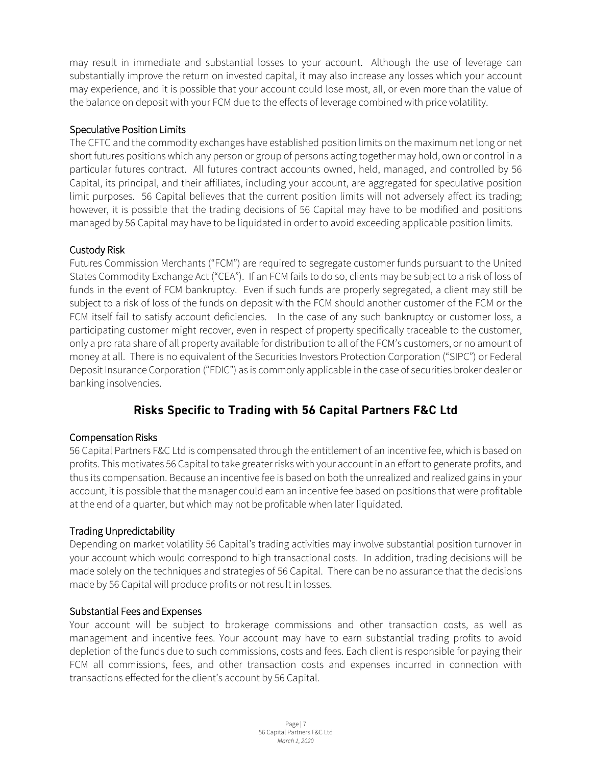may result in immediate and substantial losses to your account. Although the use of leverage can substantially improve the return on invested capital, it may also increase any losses which your account may experience, and it is possible that your account could lose most, all, or even more than the value of the balance on deposit with your FCM due to the effects of leverage combined with price volatility.

#### Speculative Position Limits

The CFTC and the commodity exchanges have established position limits on the maximum net long or net short futures positions which any person or group of persons acting together may hold, own or control in a particular futures contract. All futures contract accounts owned, held, managed, and controlled by 56 Capital, its principal, and their affiliates, including your account, are aggregated for speculative position limit purposes. 56 Capital believes that the current position limits will not adversely affect its trading; however, it is possible that the trading decisions of 56 Capital may have to be modified and positions managed by 56 Capital may have to be liquidated in order to avoid exceeding applicable position limits.

#### Custody Risk

Futures Commission Merchants ("FCM") are required to segregate customer funds pursuant to the United States Commodity Exchange Act ("CEA"). If an FCM fails to do so, clients may be subject to a risk of loss of funds in the event of FCM bankruptcy. Even if such funds are properly segregated, a client may still be subject to a risk of loss of the funds on deposit with the FCM should another customer of the FCM or the FCM itself fail to satisfy account deficiencies. In the case of any such bankruptcy or customer loss, a participating customer might recover, even in respect of property specifically traceable to the customer, only a pro rata share of all property available for distribution to all of the FCM's customers, or no amount of money at all. There is no equivalent of the Securities Investors Protection Corporation ("SIPC") or Federal Deposit Insurance Corporation ("FDIC") as is commonly applicable in the case of securities broker dealer or banking insolvencies.

## **Risks Specific to Trading with 56 Capital Partners F&C Ltd**

#### <span id="page-6-0"></span>Compensation Risks

56 Capital Partners F&C Ltd is compensated through the entitlement of an incentive fee, which is based on profits. This motivates 56 Capital to take greater risks with your account in an effort to generate profits, and thus its compensation. Because an incentive fee is based on both the unrealized and realized gains in your account, it is possible that the manager could earn an incentive fee based on positions that were profitable at the end of a quarter, but which may not be profitable when later liquidated.

#### Trading Unpredictability

Depending on market volatility 56 Capital's trading activities may involve substantial position turnover in your account which would correspond to high transactional costs. In addition, trading decisions will be made solely on the techniques and strategies of 56 Capital. There can be no assurance that the decisions made by 56 Capital will produce profits or not result in losses.

#### Substantial Fees and Expenses

Your account will be subject to brokerage commissions and other transaction costs, as well as management and incentive fees. Your account may have to earn substantial trading profits to avoid depletion of the funds due to such commissions, costs and fees. Each client is responsible for paying their FCM all commissions, fees, and other transaction costs and expenses incurred in connection with transactions effected for the client's account by 56 Capital.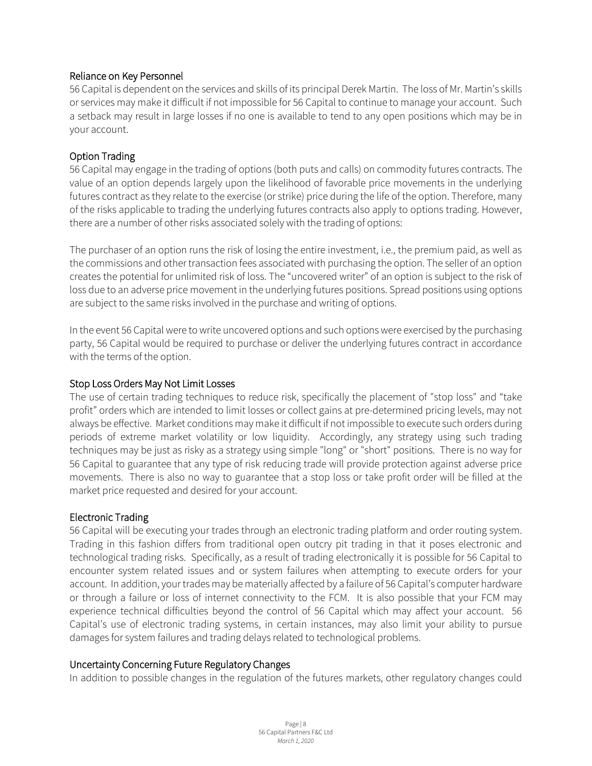#### Reliance on Key Personnel

56 Capital is dependent on the services and skills of its principal Derek Martin. The loss of Mr. Martin's skills or services may make it difficult if not impossible for 56 Capital to continue to manage your account. Such a setback may result in large losses if no one is available to tend to any open positions which may be in your account.

#### Option Trading

56 Capital may engage in the trading of options (both puts and calls) on commodity futures contracts. The value of an option depends largely upon the likelihood of favorable price movements in the underlying futures contract as they relate to the exercise (or strike) price during the life of the option. Therefore, many of the risks applicable to trading the underlying futures contracts also apply to options trading. However, there are a number of other risks associated solely with the trading of options:

The purchaser of an option runs the risk of losing the entire investment, i.e., the premium paid, as well as the commissions and other transaction fees associated with purchasing the option. The seller of an option creates the potential for unlimited risk of loss. The "uncovered writer" of an option is subject to the risk of loss due to an adverse price movement in the underlying futures positions. Spread positions using options are subject to the same risks involved in the purchase and writing of options.

In the event 56 Capital were to write uncovered options and such options were exercised by the purchasing party, 56 Capital would be required to purchase or deliver the underlying futures contract in accordance with the terms of the option.

#### Stop Loss Orders May Not Limit Losses

The use of certain trading techniques to reduce risk, specifically the placement of "stop loss" and "take profit" orders which are intended to limit losses or collect gains at pre-determined pricing levels, may not always be effective. Market conditions may make it difficult if not impossible to execute such orders during periods of extreme market volatility or low liquidity. Accordingly, any strategy using such trading techniques may be just as risky as a strategy using simple "long" or "short" positions. There is no way for 56 Capital to guarantee that any type of risk reducing trade will provide protection against adverse price movements. There is also no way to guarantee that a stop loss or take profit order will be filled at the market price requested and desired for your account.

#### Electronic Trading

56 Capital will be executing your trades through an electronic trading platform and order routing system. Trading in this fashion differs from traditional open outcry pit trading in that it poses electronic and technological trading risks. Specifically, as a result of trading electronically it is possible for 56 Capital to encounter system related issues and or system failures when attempting to execute orders for your account. In addition, your trades may be materially affected by a failure of 56 Capital's computer hardware or through a failure or loss of internet connectivity to the FCM. It is also possible that your FCM may experience technical difficulties beyond the control of 56 Capital which may affect your account. 56 Capital's use of electronic trading systems, in certain instances, may also limit your ability to pursue damages for system failures and trading delays related to technological problems.

#### Uncertainty Concerning Future Regulatory Changes

In addition to possible changes in the regulation of the futures markets, other regulatory changes could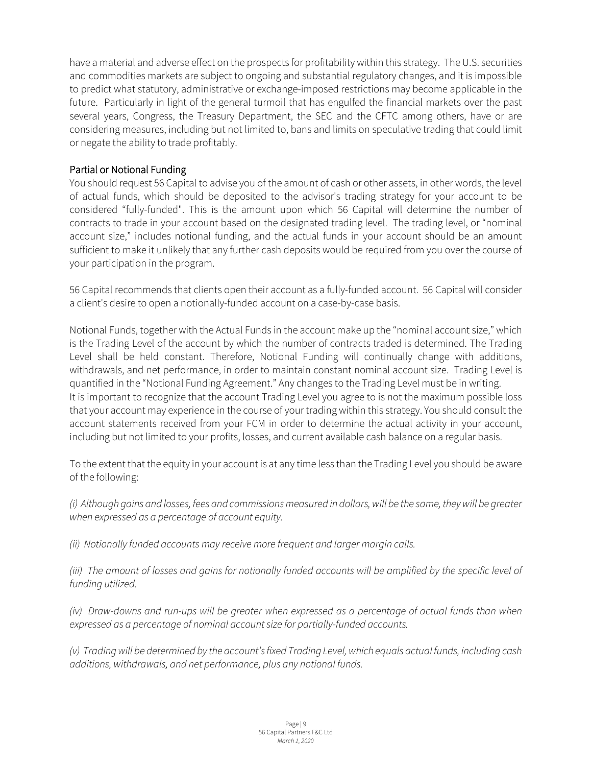have a material and adverse effect on the prospects for profitability within this strategy. The U.S. securities and commodities markets are subject to ongoing and substantial regulatory changes, and it is impossible to predict what statutory, administrative or exchange-imposed restrictions may become applicable in the future. Particularly in light of the general turmoil that has engulfed the financial markets over the past several years, Congress, the Treasury Department, the SEC and the CFTC among others, have or are considering measures, including but not limited to, bans and limits on speculative trading that could limit or negate the ability to trade profitably.

#### Partial or Notional Funding

You should request 56 Capital to advise you of the amount of cash or other assets, in other words, the level of actual funds, which should be deposited to the advisor's trading strategy for your account to be considered "fully-funded". This is the amount upon which 56 Capital will determine the number of contracts to trade in your account based on the designated trading level. The trading level, or "nominal account size," includes notional funding, and the actual funds in your account should be an amount sufficient to make it unlikely that any further cash deposits would be required from you over the course of your participation in the program.

56 Capital recommends that clients open their account as a fully-funded account. 56 Capital will consider a client's desire to open a notionally-funded account on a case-by-case basis.

Notional Funds, together with the Actual Funds in the account make up the "nominal account size," which is the Trading Level of the account by which the number of contracts traded is determined. The Trading Level shall be held constant. Therefore, Notional Funding will continually change with additions, withdrawals, and net performance, in order to maintain constant nominal account size. Trading Level is quantified in the "Notional Funding Agreement." Any changes to the Trading Level must be in writing. It is important to recognize that the account Trading Level you agree to is not the maximum possible loss that your account may experience in the course of your trading within this strategy. You should consult the account statements received from your FCM in order to determine the actual activity in your account, including but not limited to your profits, losses, and current available cash balance on a regular basis.

To the extent that the equity in your account is at any time less than the Trading Level you should be aware of the following:

*(i) Although gains and losses, fees and commissions measured in dollars, will be the same, they will be greater when expressed as a percentage of account equity.*

*(ii) Notionally funded accounts may receive more frequent and larger margin calls.*

*(iii)* The amount of losses and gains for notionally funded accounts will be amplified by the specific level of *funding utilized.*

*(iv) Draw-downs and run-ups will be greater when expressed as a percentage of actual funds than when expressed as a percentage of nominal account size for partially-funded accounts.* 

*(v) Trading will be determined by the account's fixed Trading Level, which equals actual funds, including cash additions, withdrawals, and net performance, plus any notional funds.*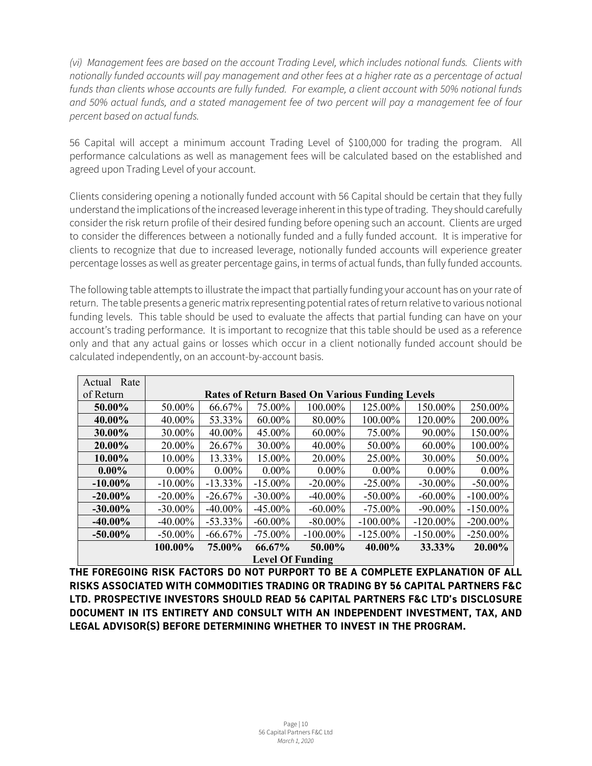*(vi) Management fees are based on the account Trading Level, which includes notional funds. Clients with notionally funded accounts will pay management and other fees at a higher rate as a percentage of actual funds than clients whose accounts are fully funded. For example, a client account with 50% notional funds and 50% actual funds, and a stated management fee of two percent will pay a management fee of four percent based on actual funds.*

56 Capital will accept a minimum account Trading Level of \$100,000 for trading the program. All performance calculations as well as management fees will be calculated based on the established and agreed upon Trading Level of your account.

Clients considering opening a notionally funded account with 56 Capital should be certain that they fully understand the implications of the increased leverage inherent in this type of trading. They should carefully consider the risk return profile of their desired funding before opening such an account. Clients are urged to consider the differences between a notionally funded and a fully funded account. It is imperative for clients to recognize that due to increased leverage, notionally funded accounts will experience greater percentage losses as well as greater percentage gains, in terms of actual funds, than fully funded accounts.

The following table attempts to illustrate the impact that partially funding your account has on your rate of return. The table presents a generic matrix representing potential rates of return relative to various notional funding levels. This table should be used to evaluate the affects that partial funding can have on your account's trading performance. It is important to recognize that this table should be used as a reference only and that any actual gains or losses which occur in a client notionally funded account should be calculated independently, on an account-by-account basis.

| Rate<br>Actual          |                                                        |            |            |             |             |             |             |  |  |
|-------------------------|--------------------------------------------------------|------------|------------|-------------|-------------|-------------|-------------|--|--|
| of Return               | <b>Rates of Return Based On Various Funding Levels</b> |            |            |             |             |             |             |  |  |
| 50.00%                  | 50.00%                                                 | 66.67%     | 75.00%     | 100.00%     | 125.00%     | 150.00%     | 250.00%     |  |  |
| 40.00%                  | 40.00%                                                 | 53.33%     | 60.00%     | 80.00%      | 100.00%     | 120.00%     | 200.00%     |  |  |
| 30.00%                  | 30.00%                                                 | 40.00%     | 45.00%     | 60.00%      | 75.00%      | 90.00%      | 150.00%     |  |  |
| 20.00%                  | 20.00%                                                 | 26.67%     | 30.00%     | 40.00%      | 50.00%      | 60.00%      | 100.00%     |  |  |
| 10.00%                  | 10.00%                                                 | 13.33%     | 15.00%     | 20.00%      | 25.00%      | 30.00%      | 50.00%      |  |  |
| $0.00\%$                | $0.00\%$                                               | $0.00\%$   | $0.00\%$   | $0.00\%$    | $0.00\%$    | $0.00\%$    | $0.00\%$    |  |  |
| $-10.00\%$              | $-10.00\%$                                             | $-13.33\%$ | $-15.00\%$ | $-20.00\%$  | $-25.00\%$  | $-30.00\%$  | $-50.00\%$  |  |  |
| $-20.00\%$              | $-20.00\%$                                             | $-26.67%$  | $-30.00\%$ | $-40.00\%$  | $-50.00\%$  | $-60.00\%$  | $-100.00\%$ |  |  |
| $-30.00\%$              | $-30.00\%$                                             | $-40.00\%$ | $-45.00\%$ | $-60.00\%$  | $-75.00\%$  | $-90.00\%$  | $-150.00\%$ |  |  |
| $-40.00\%$              | $-40.00\%$                                             | $-53.33\%$ | $-60.00\%$ | $-80.00\%$  | $-100.00\%$ | $-120.00\%$ | $-200.00\%$ |  |  |
| $-50.00\%$              | $-50.00\%$                                             | $-66.67\%$ | $-75.00\%$ | $-100.00\%$ | $-125.00\%$ | $-150.00\%$ | $-250.00\%$ |  |  |
|                         | 100.00%                                                | 75.00%     | 66.67%     | 50.00%      | 40.00%      | 33.33%      | 20.00%      |  |  |
| <b>Level Of Funding</b> |                                                        |            |            |             |             |             |             |  |  |

**THE FOREGOING RISK FACTORS DO NOT PURPORT TO BE A COMPLETE EXPLANATION OF ALL RISKS ASSOCIATED WITH COMMODITIES TRADING OR TRADING BY 56 CAPITAL PARTNERS F&C LTD. PROSPECTIVE INVESTORS SHOULD READ 56 CAPITAL PARTNERS F&C LTD's DISCLOSURE DOCUMENT IN ITS ENTIRETY AND CONSULT WITH AN INDEPENDENT INVESTMENT, TAX, AND LEGAL ADVISOR(S) BEFORE DETERMINING WHETHER TO INVEST IN THE PROGRAM.**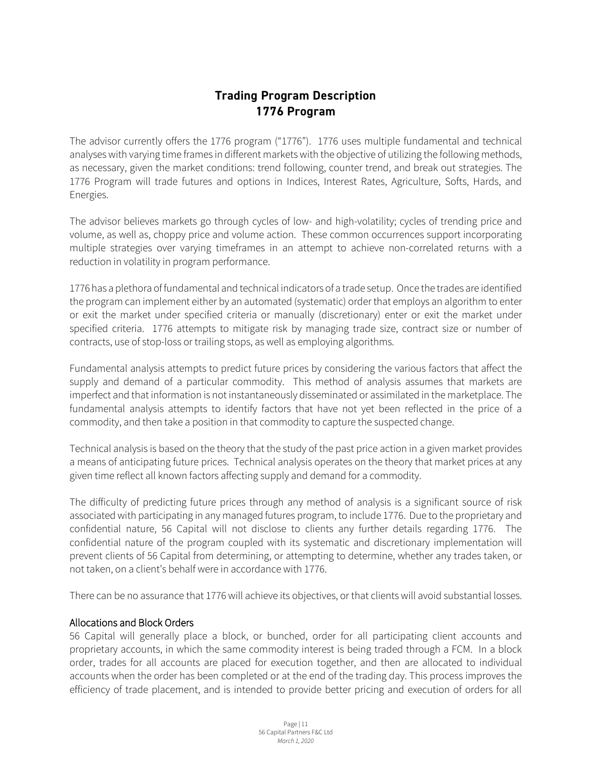## **Trading Program Description 1776 Program**

<span id="page-10-0"></span>The advisor currently offers the 1776 program ("1776"). 1776 uses multiple fundamental and technical analyses with varying time frames in different markets with the objective of utilizing the following methods, as necessary, given the market conditions: trend following, counter trend, and break out strategies. The 1776 Program will trade futures and options in Indices, Interest Rates, Agriculture, Softs, Hards, and Energies.

The advisor believes markets go through cycles of low- and high-volatility; cycles of trending price and volume, as well as, choppy price and volume action. These common occurrences support incorporating multiple strategies over varying timeframes in an attempt to achieve non-correlated returns with a reduction in volatility in program performance.

1776 has a plethora of fundamental and technical indicators of a trade setup. Once the trades are identified the program can implement either by an automated (systematic) order that employs an algorithm to enter or exit the market under specified criteria or manually (discretionary) enter or exit the market under specified criteria. 1776 attempts to mitigate risk by managing trade size, contract size or number of contracts, use of stop-loss or trailing stops, as well as employing algorithms.

Fundamental analysis attempts to predict future prices by considering the various factors that affect the supply and demand of a particular commodity. This method of analysis assumes that markets are imperfect and that information is not instantaneously disseminated or assimilated in the marketplace. The fundamental analysis attempts to identify factors that have not yet been reflected in the price of a commodity, and then take a position in that commodity to capture the suspected change.

Technical analysis is based on the theory that the study of the past price action in a given market provides a means of anticipating future prices. Technical analysis operates on the theory that market prices at any given time reflect all known factors affecting supply and demand for a commodity.

The difficulty of predicting future prices through any method of analysis is a significant source of risk associated with participating in any managed futures program, to include 1776. Due to the proprietary and confidential nature, 56 Capital will not disclose to clients any further details regarding 1776. The confidential nature of the program coupled with its systematic and discretionary implementation will prevent clients of 56 Capital from determining, or attempting to determine, whether any trades taken, or not taken, on a client's behalf were in accordance with 1776.

There can be no assurance that 1776 will achieve its objectives, or that clients will avoid substantial losses.

#### Allocations and Block Orders

56 Capital will generally place a block, or bunched, order for all participating client accounts and proprietary accounts, in which the same commodity interest is being traded through a FCM. In a block order, trades for all accounts are placed for execution together, and then are allocated to individual accounts when the order has been completed or at the end of the trading day. This process improves the efficiency of trade placement, and is intended to provide better pricing and execution of orders for all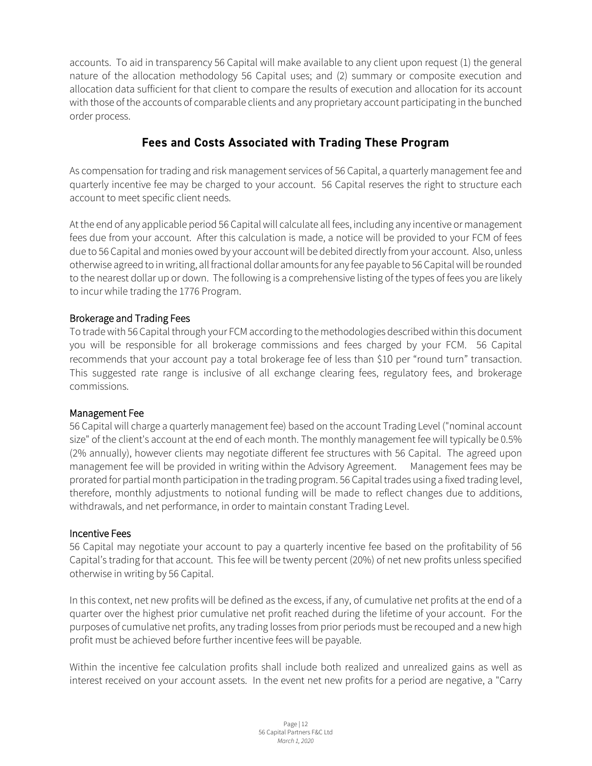accounts. To aid in transparency 56 Capital will make available to any client upon request (1) the general nature of the allocation methodology 56 Capital uses; and (2) summary or composite execution and allocation data sufficient for that client to compare the results of execution and allocation for its account with those of the accounts of comparable clients and any proprietary account participating in the bunched order process.

## **Fees and Costs Associated with Trading These Program**

<span id="page-11-0"></span>As compensation for trading and risk management services of 56 Capital, a quarterly management fee and quarterly incentive fee may be charged to your account. 56 Capital reserves the right to structure each account to meet specific client needs.

At the end of any applicable period 56 Capitalwill calculate all fees, including any incentive or management fees due from your account. After this calculation is made, a notice will be provided to your FCM of fees due to 56 Capital and monies owed by your account will be debited directly from your account. Also, unless otherwise agreed to in writing, all fractional dollar amounts for any fee payable to 56 Capitalwill be rounded to the nearest dollar up or down. The following is a comprehensive listing of the types of fees you are likely to incur while trading the 1776 Program.

#### Brokerage and Trading Fees

To trade with 56 Capital through your FCM according to the methodologies described within this document you will be responsible for all brokerage commissions and fees charged by your FCM. 56 Capital recommends that your account pay a total brokerage fee of less than \$10 per "round turn" transaction. This suggested rate range is inclusive of all exchange clearing fees, regulatory fees, and brokerage commissions.

#### Management Fee

56 Capital will charge a quarterly management fee) based on the account Trading Level ("nominal account size" of the client's account at the end of each month. The monthly management fee will typically be 0.5% (2% annually), however clients may negotiate different fee structures with 56 Capital. The agreed upon management fee will be provided in writing within the Advisory Agreement. Management fees may be prorated for partial month participation in the trading program. 56 Capital trades using a fixed trading level, therefore, monthly adjustments to notional funding will be made to reflect changes due to additions, withdrawals, and net performance, in order to maintain constant Trading Level.

#### Incentive Fees

56 Capital may negotiate your account to pay a quarterly incentive fee based on the profitability of 56 Capital's trading for that account. This fee will be twenty percent (20%) of net new profits unless specified otherwise in writing by 56 Capital.

In this context, net new profits will be defined as the excess, if any, of cumulative net profits at the end of a quarter over the highest prior cumulative net profit reached during the lifetime of your account. For the purposes of cumulative net profits, any trading losses from prior periods must be recouped and a new high profit must be achieved before further incentive fees will be payable.

Within the incentive fee calculation profits shall include both realized and unrealized gains as well as interest received on your account assets. In the event net new profits for a period are negative, a "Carry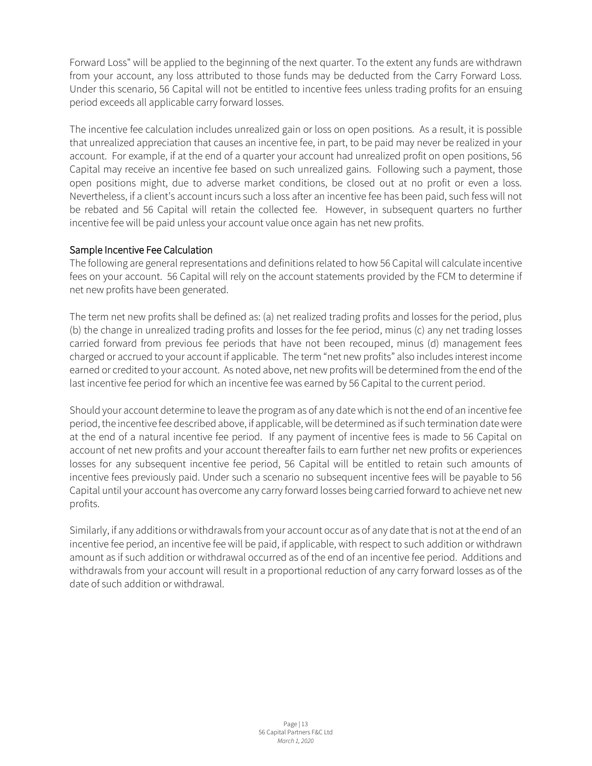Forward Loss" will be applied to the beginning of the next quarter. To the extent any funds are withdrawn from your account, any loss attributed to those funds may be deducted from the Carry Forward Loss. Under this scenario, 56 Capital will not be entitled to incentive fees unless trading profits for an ensuing period exceeds all applicable carry forward losses.

The incentive fee calculation includes unrealized gain or loss on open positions. As a result, it is possible that unrealized appreciation that causes an incentive fee, in part, to be paid may never be realized in your account. For example, if at the end of a quarter your account had unrealized profit on open positions, 56 Capital may receive an incentive fee based on such unrealized gains. Following such a payment, those open positions might, due to adverse market conditions, be closed out at no profit or even a loss. Nevertheless, if a client's account incurs such a loss after an incentive fee has been paid, such fess will not be rebated and 56 Capital will retain the collected fee. However, in subsequent quarters no further incentive fee will be paid unless your account value once again has net new profits.

#### Sample Incentive Fee Calculation

The following are general representations and definitions related to how 56 Capital will calculate incentive fees on your account. 56 Capital will rely on the account statements provided by the FCM to determine if net new profits have been generated.

The term net new profits shall be defined as: (a) net realized trading profits and losses for the period, plus (b) the change in unrealized trading profits and losses for the fee period, minus (c) any net trading losses carried forward from previous fee periods that have not been recouped, minus (d) management fees charged or accrued to your account if applicable. The term "net new profits" also includes interest income earned or credited to your account. As noted above, net new profits will be determined from the end of the last incentive fee period for which an incentive fee was earned by 56 Capital to the current period.

Should your account determine to leave the program as of any date which is not the end of an incentive fee period, the incentive fee described above, if applicable, will be determined as if such termination date were at the end of a natural incentive fee period. If any payment of incentive fees is made to 56 Capital on account of net new profits and your account thereafter fails to earn further net new profits or experiences losses for any subsequent incentive fee period, 56 Capital will be entitled to retain such amounts of incentive fees previously paid. Under such a scenario no subsequent incentive fees will be payable to 56 Capital until your account has overcome any carry forward losses being carried forward to achieve net new profits.

Similarly, if any additions or withdrawals from your account occur as of any date that is not at the end of an incentive fee period, an incentive fee will be paid, if applicable, with respect to such addition or withdrawn amount as if such addition or withdrawal occurred as of the end of an incentive fee period. Additions and withdrawals from your account will result in a proportional reduction of any carry forward losses as of the date of such addition or withdrawal.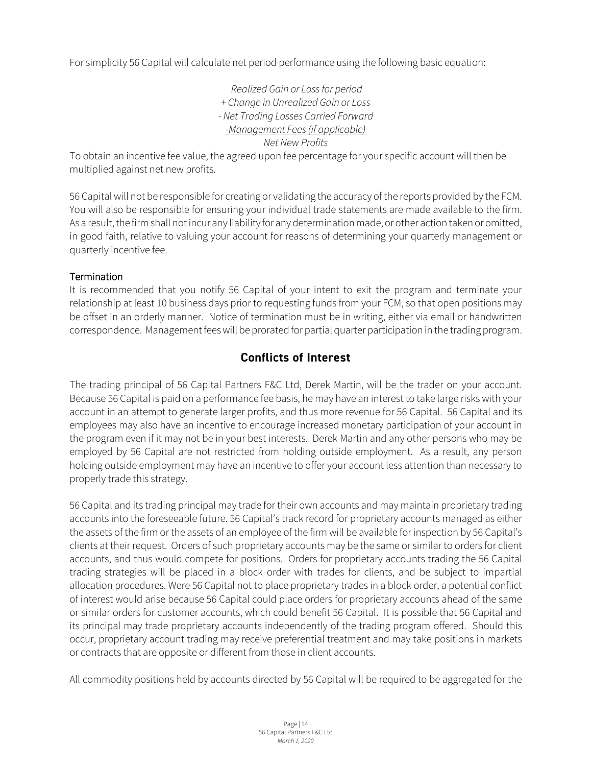For simplicity 56 Capital will calculate net period performance using the following basic equation:

*Realized Gain or Loss for period + Change in Unrealized Gain or Loss - Net Trading Losses Carried Forward -Management Fees (if applicable) Net New Profits*

To obtain an incentive fee value, the agreed upon fee percentage for your specific account will then be multiplied against net new profits.

56 Capital will not be responsible for creating or validating the accuracy of the reports provided by the FCM. You will also be responsible for ensuring your individual trade statements are made available to the firm. As a result, the firm shall not incur any liability for any determination made, or other action taken or omitted, in good faith, relative to valuing your account for reasons of determining your quarterly management or quarterly incentive fee.

#### **Termination**

It is recommended that you notify 56 Capital of your intent to exit the program and terminate your relationship at least 10 business days prior to requesting funds from your FCM, so that open positions may be offset in an orderly manner. Notice of termination must be in writing, either via email or handwritten correspondence. Management fees will be prorated for partial quarter participation in the trading program.

## **Conflicts of Interest**

<span id="page-13-0"></span>The trading principal of 56 Capital Partners F&C Ltd, Derek Martin, will be the trader on your account. Because 56 Capital is paid on a performance fee basis, he may have an interest to take large risks with your account in an attempt to generate larger profits, and thus more revenue for 56 Capital. 56 Capital and its employees may also have an incentive to encourage increased monetary participation of your account in the program even if it may not be in your best interests. Derek Martin and any other persons who may be employed by 56 Capital are not restricted from holding outside employment. As a result, any person holding outside employment may have an incentive to offer your account less attention than necessary to properly trade this strategy.

56 Capital and its trading principal may trade for their own accounts and may maintain proprietary trading accounts into the foreseeable future. 56 Capital's track record for proprietary accounts managed as either the assets of the firm or the assets of an employee of the firm will be available for inspection by 56 Capital's clients at their request. Orders of such proprietary accounts may be the same or similar to orders for client accounts, and thus would compete for positions. Orders for proprietary accounts trading the 56 Capital trading strategies will be placed in a block order with trades for clients, and be subject to impartial allocation procedures. Were 56 Capital not to place proprietary trades in a block order, a potential conflict of interest would arise because 56 Capital could place orders for proprietary accounts ahead of the same or similar orders for customer accounts, which could benefit 56 Capital. It is possible that 56 Capital and its principal may trade proprietary accounts independently of the trading program offered. Should this occur, proprietary account trading may receive preferential treatment and may take positions in markets or contracts that are opposite or different from those in client accounts.

All commodity positions held by accounts directed by 56 Capital will be required to be aggregated for the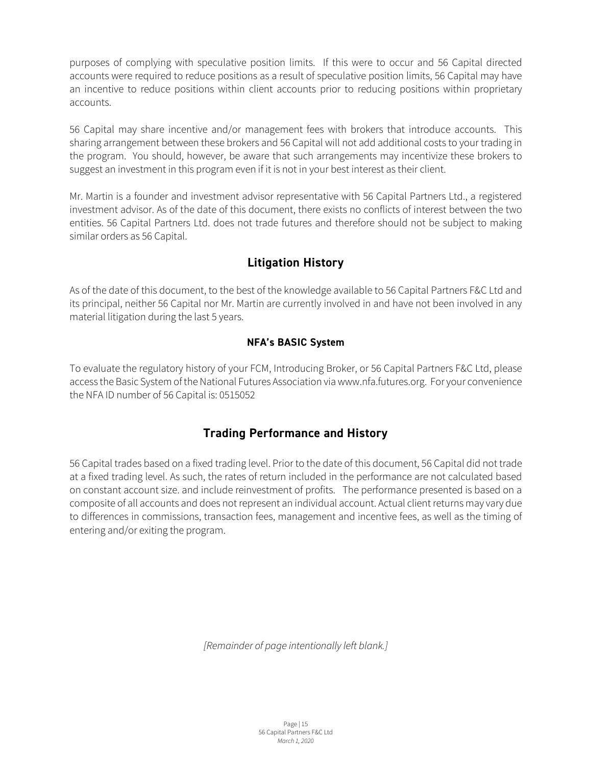purposes of complying with speculative position limits. If this were to occur and 56 Capital directed accounts were required to reduce positions as a result of speculative position limits, 56 Capital may have an incentive to reduce positions within client accounts prior to reducing positions within proprietary accounts.

56 Capital may share incentive and/or management fees with brokers that introduce accounts. This sharing arrangement between these brokers and 56 Capital will not add additional costs to your trading in the program. You should, however, be aware that such arrangements may incentivize these brokers to suggest an investment in this program even if it is not in your best interest as their client.

Mr. Martin is a founder and investment advisor representative with 56 Capital Partners Ltd., a registered investment advisor. As of the date of this document, there exists no conflicts of interest between the two entities. 56 Capital Partners Ltd. does not trade futures and therefore should not be subject to making similar orders as 56 Capital.

## **Litigation History**

<span id="page-14-0"></span>As of the date of this document, to the best of the knowledge available to 56 Capital Partners F&C Ltd and its principal, neither 56 Capital nor Mr. Martin are currently involved in and have not been involved in any material litigation during the last 5 years.

#### **NFA's BASIC System**

To evaluate the regulatory history of your FCM, Introducing Broker, or 56 Capital Partners F&C Ltd, please access the Basic System of the National Futures Association via www.nfa.futures.org. For your convenience the NFA ID number of 56 Capital is: 0515052

## **Trading Performance and History**

<span id="page-14-1"></span>56 Capital trades based on a fixed trading level. Prior to the date of this document, 56 Capital did not trade at a fixed trading level. As such, the rates of return included in the performance are not calculated based on constant account size. and include reinvestment of profits. The performance presented is based on a composite of all accounts and does not represent an individual account. Actual client returns may vary due to differences in commissions, transaction fees, management and incentive fees, as well as the timing of entering and/or exiting the program.

*[Remainder of page intentionally left blank.]*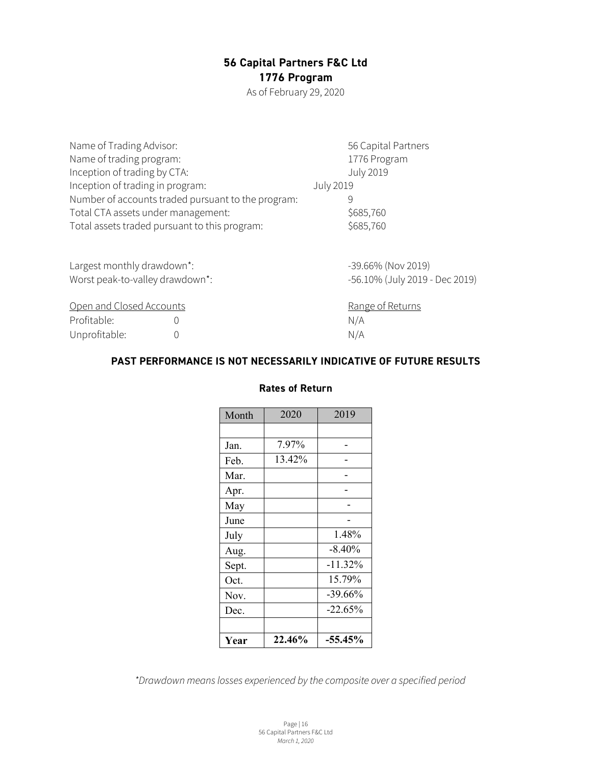## **56 Capital Partners F&C Ltd 1776 Program**

As of February 29, 2020

| Name of Trading Advisor:                      |                                                    |                  | 56 Capital Partners            |
|-----------------------------------------------|----------------------------------------------------|------------------|--------------------------------|
| Name of trading program:                      |                                                    |                  | 1776 Program                   |
| Inception of trading by CTA:                  |                                                    |                  | <b>July 2019</b>               |
| Inception of trading in program:              |                                                    | <b>July 2019</b> |                                |
|                                               | Number of accounts traded pursuant to the program: |                  | 9                              |
| Total CTA assets under management:            |                                                    |                  | \$685,760                      |
| Total assets traded pursuant to this program: |                                                    |                  | \$685,760                      |
| Largest monthly drawdown*:                    |                                                    |                  | -39.66% (Nov 2019)             |
| Worst peak-to-valley drawdown*:               |                                                    |                  | -56.10% (July 2019 - Dec 2019) |
|                                               |                                                    |                  |                                |
| Open and Closed Accounts                      |                                                    |                  | Range of Returns               |
| Profitable:                                   | 0                                                  |                  | N/A                            |
| Unprofitable:                                 | 0                                                  |                  | N/A                            |

#### **PAST PERFORMANCE IS NOT NECESSARILY INDICATIVE OF FUTURE RESULTS**

### **Rates of Return**

| Month | 2020   | 2019       |
|-------|--------|------------|
|       |        |            |
| Jan.  | 7.97%  |            |
| Feb.  | 13.42% |            |
| Mar.  |        |            |
| Apr.  |        |            |
| May   |        |            |
| June  |        |            |
| July  |        | 1.48%      |
| Aug.  |        | $-8.40%$   |
| Sept. |        | $-11.32%$  |
| Oct.  |        | 15.79%     |
| Nov.  |        | $-39.66%$  |
| Dec.  |        | $-22.65\%$ |
|       |        |            |
| Year  | 22.46% | $-55.45%$  |

*\*Drawdown means losses experienced by the composite over a specified period*